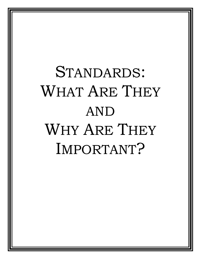# STANDARDS: WHAT ARE THEY AND WHY ARE THEY IMPORTANT?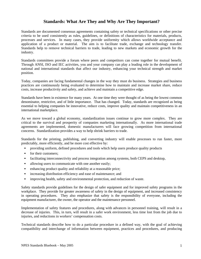# **Standards: What Are They and Why Are They Important?**

Standards are documented consensus agreements containing safety or technical specifications or other precise criteria to be used consistently as rules, guidelines, or definitions of characteristics for materials, products, processes and services. In many cases, they provide uniformity which allows worldwide acceptance and application of a product or material. The aim is to facilitate trade, exchange and technology transfer. Standards help to remove technical barriers to trade, leading to new markets and economic growth for the industry.

Standards committees provide a forum where peers and competitors can come together for mutual benefit. Through ANSI, ISO and IEC activities, you and your company can play a leading role in the development of national and international standards that affect our industry, enhancing your technical strength and market position.

Today, companies are facing fundamental changes in the way they must do business. Strategies and business practices are continuously being evaluated to determine how to maintain and increase market share, reduce costs, increase productivity and safety, and achieve and maintain a competitive edge.

Standards have been in existence for many years. At one time they were thought of as being the lowest common denominator, restrictive, and of little importance. That has changed. Today, standards are recognized as being essential to helping companies be innovative, reduce costs, improve quality and maintain competitiveness in an international marketplace.

As we move toward a global economy, standardization issues continue to grow more complex. They are critical to the survival and prosperity of companies marketing internationally. As more international trade agreements are implemented, domestic manufacturers will face growing competition from international concerns. Standardization provides a way to help shrink barriers to trade.

Standards for the printing, publishing, and converting industry will enable processes to run faster, more predictably, more efficiently, and be more cost effective by:

- providing uniform, defined procedures and tools which help users produce quality products
- **for their customers:**
- facilitating interconnectivity and process integration among systems, both CEPS and desktop,
- allowing users to communicate with one another easily;
- enhancing product quality and reliability at a reasonable price;
- **Example 1** increasing distribution efficiency and ease of maintenance; and
- **·** improving health, safety and environmental protection, and reduction of waste.

Safety standards provide guidelines for the design of safer equipment and for improved safety programs in the workplace. They provide for greater awareness of safety in the design of equipment, and increased consistency in operating procedures. They also emphasize that safety is the responsibility of everyone, including the equipment manufacturer, the owner, the operator and the maintenance personnel.

Implementation of safety features and procedures, along with advances in personnel training, will result in a decrease of injuries. This, in turn, will result in a safer work environment, less time lost from the job due to injuries, and reductions in workers' compensation costs.

Technical standards describe how to do a particular procedure in a defined way, with the goal of achieving compatibility and interchange of information between equipment, practices and procedures, and producing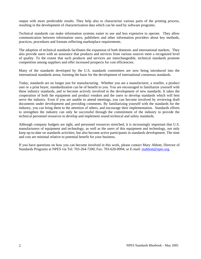output with more predictable results. They help also to characterize various parts of the printing process, resulting in the development of characterization data which can be used by software programs.

Technical standards can make information systems easier to use and less expensive to operate. They allow communication between information users, publishers and other information providers about key methods, practices, procedures and formats reflecting marketplace requirements.

The adoption of technical standards facilitates the expansion of both domestic and international markets. They also provide users with an assurance that products and services from various sources meet a recognized level of quality. To the extent that such products and services are interchangeable, technical standards promote competition among suppliers and offer increased prospects for cost efficiencies.

Many of the standards developed by the U.S. standards committees are now being introduced into the international standards arena, forming the basis for the development of international consensus standards.

Today, standards are no longer just for manufacturing. Whether you are a manufacturer, a reseller, a product user or a print buyer, standardization can be of benefit to you. You are encouraged to familiarize yourself with these industry standards, and to become actively involved in the development of new standards. It takes the cooperation of both the equipment and product vendors and the users to develop standards which will best serve the industry. Even if you are unable to attend meetings, you can become involved by reviewing draft documents under development and providing comments. By familiarizing yourself with the standards for the industry, you can bring them to the attention of others, and encourage their implementation. Standards efforts to strengthen the industry can only be successful through the commitment of the industry to provide the technical personnel resources to develop and implement sound technical and safety standards.

Although company budgets are tight, and personnel resources stretched, it is increasingly important that U.S. manufacturers of equipment and technology, as well as the users of this equipment and technology, not only keep up-to-date on standards activities, but also become active participants in standards development. The time and cost are minimal relative to potential benefit for your business.

If you have questions on how you can become involved in this work, please contact Mary Abbott, Director of Standards Programs at NPES via Tel: 703-264-7200; Fax: 703-620-0994; or E-mail: mabbott@npes.org.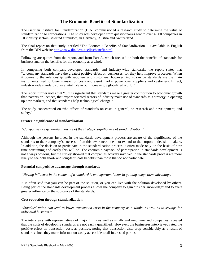# **The Economic Benefits of Standardization**

The German Institute for Standardization (DIN) commissioned a research study to determine the value of standardization to corporations. The study was developed from questionnaires sent to over 4,000 companies in 10 industry sectors, selected at random, in Germany, Austria and Switzerland.

The final report on that study, entitled "The Economic Benefits of Standardization," is available in English from the DIN website http://www.din.de/aktuelles/benefit.html.

Following are quotes from the report, and from Part A, which focused on both the benefits of standards for business and on the benefits for the economy as a whole.

In comparing both company-developed standards, and industry-wide standards, the report states that "…company standards have the greatest positive effect on businesses, for they help improve processes. When it comes to the relationship with suppliers and customers, however, industry-wide standards are the main instruments used to lower transaction costs and assert market power over suppliers and customers. In fact, industry-wide standards play a vital role in our increasingly globalized world."

The report further notes that "…it is significant that standards make a greater contribution to economic growth than patents or licences, that export-oriented sectors of industry make use of standards as a strategy in opening up new markets, and that standards help technological change."

The study concentrated on "the effects of standards on costs in general, on research and development, and safety."

## **Strategic significance of standardization**

## *"Companies are generally unaware of the strategic significance of standardization."*

Although the persons involved in the standards development process are aware of the significance of the standards to their company's success, often this awareness does not extend to the corporate decision-makers. In addition, the decision to participate in the standardization process is often made only on the basis of how time-consuming and costly this will be. The economic payback of participation in standards development is not always obvious, but the survey showed that companies actively involved in the standards process are more likely to see both short- and long-term cost benefits than those that do not participate.

#### **Potential competitive advantage through standards**

*"Having influence in the content of a standard is an important factor in gaining competitive advantage."* 

It is often said that you can be part of the solution, or you can live with the solution developed by others. Being part of the standards development process allows the company to gain "insider knowledge" and to exert greater influence on the substance of the standards.

# **Cost reduction through standardization**

*"Standardization can lead to lower transaction costs in the economy as a whole, as well as to savings for individual business."* 

The interviews with representatives of major firms as well as small- and medium-sized companies revealed that the costs of developing standards are not easily quantified. However, the businesses interviewed rated the positive effect on transaction costs as positive, noting that transaction cists drop considerably as a result of standards since they make information easily accessible to all interested parties.